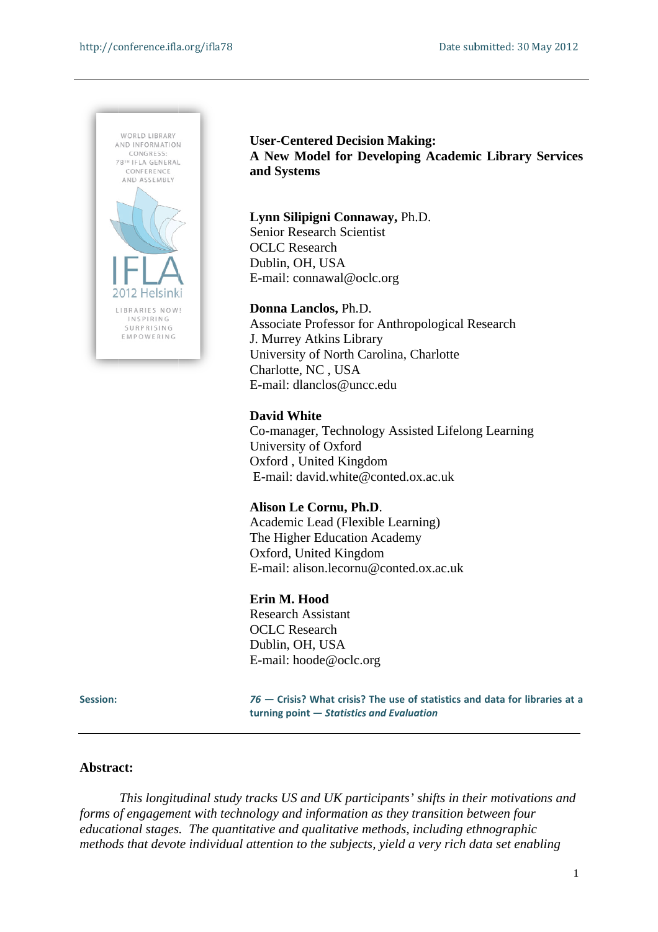

**User-Centered Decision Making:** A New Model for Developing Academic Library Services and Systems

#### Lynn Silipigni Connaway, Ph.D.

Senior Re esearch Sci entist OCLC R Research Dublin, OH, USA E-mail: connawal@oclc.org

### **Donna L Lanclos,** Ph. .D.

Associate Professor for Anthropological Research J. Murrey Atkins Library University of North Carolina, Charlotte Charlotte, NC, USA Charlotte, NC , USA<br>E-mail: dlanclos@uncc.edu

### **David W White**

Co-manager, Technology Assisted Lifelong Learning University of Oxford University of Oxford<br>Oxford , United Kingdom E-mail: david.white@conted.ox.ac.uk

### Alison Le Cornu, Ph.D.

Academic Lead (Flexible Learning) The Higher Education Academy Oxford, United Kingdom The Higher Education Academy<br>Oxford, United Kingdom<br>E-mail: alison.lecornu@conted.ox.ac.uk

#### **Erin M. Hood**

Research h Assistant OCLC R Research Dublin, OH, USA E-mail: hoode@oclc.org

#### **Session:**

76 – Crisis? What crisis? The use of statistics and data for libraries at a **turning point — Statistics and Evaluation** 

#### Abstract:

*forms of engagement with technology and information as they transition between four educational stages. The quantitative and qualitative methods, including ethnographic* forms of engagement with technology and information as they transition between four<br>educational stages. The quantitative and qualitative methods, including ethnographic<br>methods that devote individual attention to the subje *This longitudinal study tracks US and UK participants' shifts in their motivations and*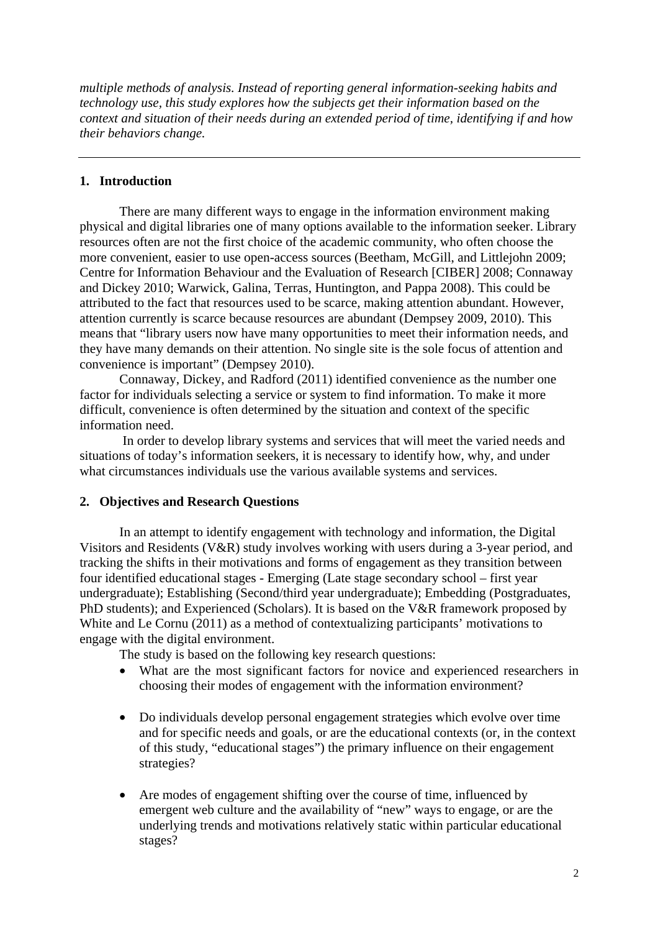*multiple methods of analysis. Instead of reporting general information-seeking habits and technology use, this study explores how the subjects get their information based on the context and situation of their needs during an extended period of time, identifying if and how their behaviors change.* 

## **1. Introduction**

There are many different ways to engage in the information environment making physical and digital libraries one of many options available to the information seeker. Library resources often are not the first choice of the academic community, who often choose the more convenient, easier to use open-access sources (Beetham, McGill, and Littlejohn 2009; Centre for Information Behaviour and the Evaluation of Research [CIBER] 2008; Connaway and Dickey 2010; Warwick, Galina, Terras, Huntington, and Pappa 2008). This could be attributed to the fact that resources used to be scarce, making attention abundant. However, attention currently is scarce because resources are abundant (Dempsey 2009, 2010). This means that "library users now have many opportunities to meet their information needs, and they have many demands on their attention. No single site is the sole focus of attention and convenience is important" (Dempsey 2010).

Connaway, Dickey, and Radford (2011) identified convenience as the number one factor for individuals selecting a service or system to find information. To make it more difficult, convenience is often determined by the situation and context of the specific information need.

 In order to develop library systems and services that will meet the varied needs and situations of today's information seekers, it is necessary to identify how, why, and under what circumstances individuals use the various available systems and services.

### **2. Objectives and Research Questions**

In an attempt to identify engagement with technology and information, the Digital Visitors and Residents (V&R) study involves working with users during a 3-year period, and tracking the shifts in their motivations and forms of engagement as they transition between four identified educational stages - Emerging (Late stage secondary school – first year undergraduate); Establishing (Second/third year undergraduate); Embedding (Postgraduates, PhD students); and Experienced (Scholars). It is based on the V&R framework proposed by White and Le Cornu (2011) as a method of contextualizing participants' motivations to engage with the digital environment.

The study is based on the following key research questions:

- What are the most significant factors for novice and experienced researchers in choosing their modes of engagement with the information environment?
- Do individuals develop personal engagement strategies which evolve over time and for specific needs and goals, or are the educational contexts (or, in the context of this study, "educational stages") the primary influence on their engagement strategies?
- Are modes of engagement shifting over the course of time, influenced by emergent web culture and the availability of "new" ways to engage, or are the underlying trends and motivations relatively static within particular educational stages?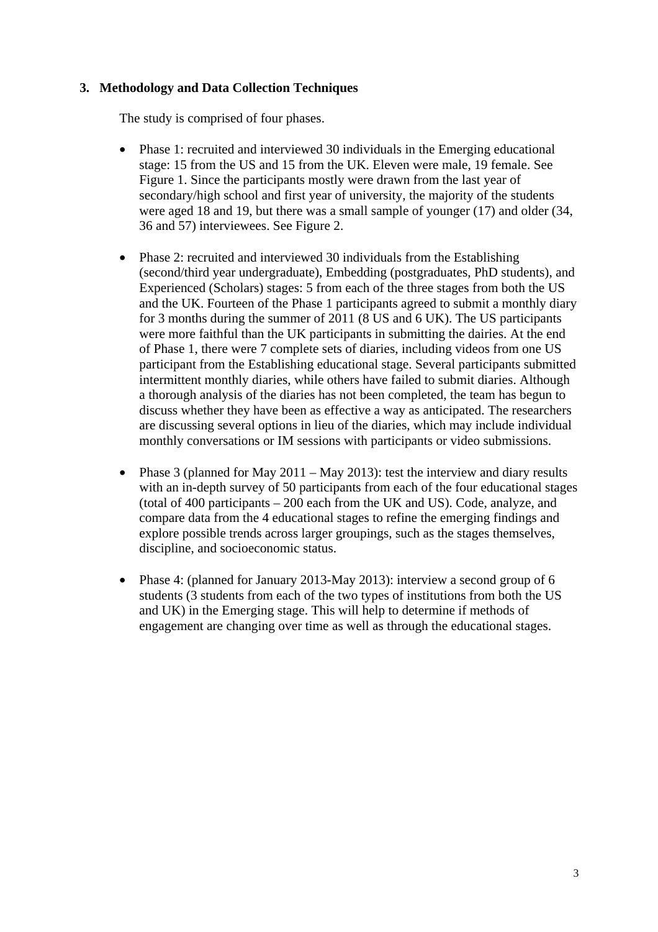# **3. Methodology and Data Collection Techniques**

The study is comprised of four phases.

- Phase 1: recruited and interviewed 30 individuals in the Emerging educational stage: 15 from the US and 15 from the UK. Eleven were male, 19 female. See Figure 1. Since the participants mostly were drawn from the last year of secondary/high school and first year of university, the majority of the students were aged 18 and 19, but there was a small sample of younger (17) and older (34, 36 and 57) interviewees. See Figure 2.
- Phase 2: recruited and interviewed 30 individuals from the Establishing (second/third year undergraduate), Embedding (postgraduates, PhD students), and Experienced (Scholars) stages: 5 from each of the three stages from both the US and the UK. Fourteen of the Phase 1 participants agreed to submit a monthly diary for 3 months during the summer of 2011 (8 US and 6 UK). The US participants were more faithful than the UK participants in submitting the dairies. At the end of Phase 1, there were 7 complete sets of diaries, including videos from one US participant from the Establishing educational stage. Several participants submitted intermittent monthly diaries, while others have failed to submit diaries. Although a thorough analysis of the diaries has not been completed, the team has begun to discuss whether they have been as effective a way as anticipated. The researchers are discussing several options in lieu of the diaries, which may include individual monthly conversations or IM sessions with participants or video submissions.
- Phase 3 (planned for May 2011 May 2013): test the interview and diary results with an in-depth survey of 50 participants from each of the four educational stages (total of 400 participants – 200 each from the UK and US). Code, analyze, and compare data from the 4 educational stages to refine the emerging findings and explore possible trends across larger groupings, such as the stages themselves, discipline, and socioeconomic status.
- Phase 4: (planned for January 2013-May 2013): interview a second group of 6 students (3 students from each of the two types of institutions from both the US and UK) in the Emerging stage. This will help to determine if methods of engagement are changing over time as well as through the educational stages.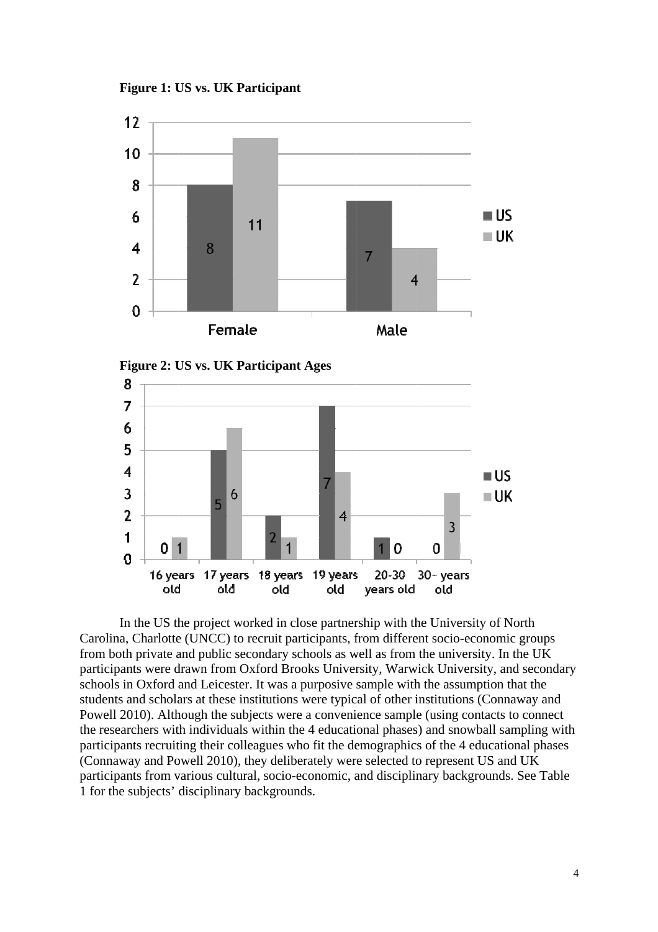**Figure 1: U US vs. UK P Participant**





Carolina, Charlotte (UNCC) to recruit participants, from different socio-economic groups from both private and public secondary schools as well as from the university. In the UK participants were drawn from Oxford Brooks University, Warwick University, and secondary schools in Oxford and Leicester. It was a purposive sample with the assumption that the students and scholars at these institutions were typical of other institutions (Connaway and Powell 2010). Although the subjects were a convenience sample (using contacts to connect the researchers with individuals within the 4 educational phases) and snowball sampling with participants recruiting their colleagues who fit the demographics of the 4 educational phases (Connaway and Powell 2010), they deliberately were selected to represent US and UK (Connaway and Powell 2010), they deliberately were selected to represent US and UK<br>participants from various cultural, socio-economic, and disciplinary backgrounds. See Table 1 for the subjects' disciplinary backgrounds. In the US the project worked in close partnership with the University of North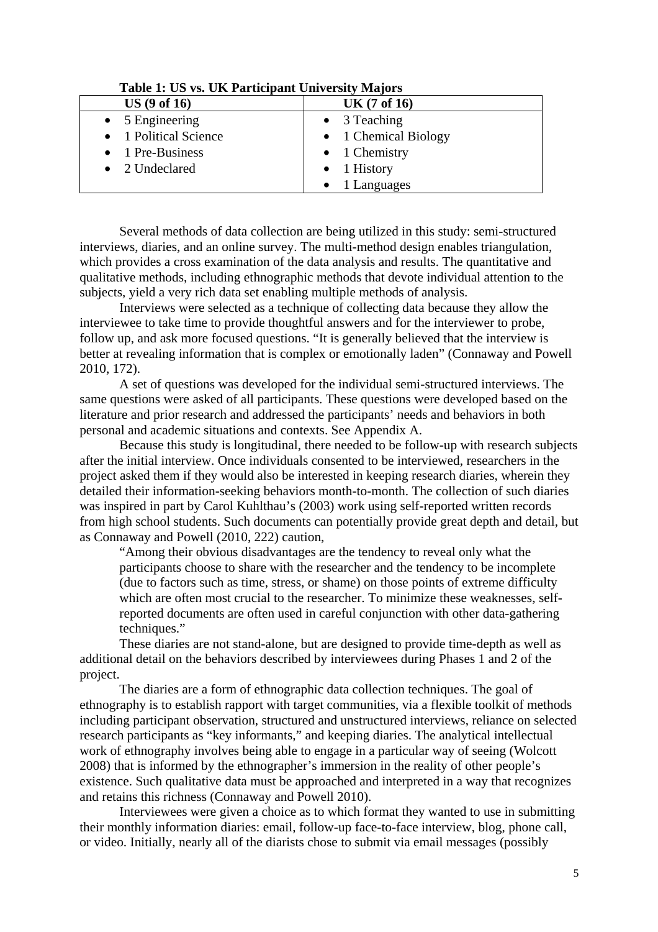| Table 1. Ob vs. OK I afticipant University Majors |                       |
|---------------------------------------------------|-----------------------|
| US(9 of 16)                                       | <b>UK</b> (7 of 16)   |
| $\bullet$ 5 Engineering                           | $\bullet$ 3 Teaching  |
| • 1 Political Science                             | • 1 Chemical Biology  |
| $\bullet$ 1 Pre-Business                          | $\bullet$ 1 Chemistry |
| • 2 Undeclared                                    | $\bullet$ 1 History   |
|                                                   | $\bullet$ 1 Languages |

## **Table 1: US vs. UK Participant University Majors**

Several methods of data collection are being utilized in this study: semi-structured interviews, diaries, and an online survey. The multi-method design enables triangulation, which provides a cross examination of the data analysis and results. The quantitative and qualitative methods, including ethnographic methods that devote individual attention to the subjects, yield a very rich data set enabling multiple methods of analysis.

Interviews were selected as a technique of collecting data because they allow the interviewee to take time to provide thoughtful answers and for the interviewer to probe, follow up, and ask more focused questions. "It is generally believed that the interview is better at revealing information that is complex or emotionally laden" (Connaway and Powell 2010, 172).

A set of questions was developed for the individual semi-structured interviews. The same questions were asked of all participants. These questions were developed based on the literature and prior research and addressed the participants' needs and behaviors in both personal and academic situations and contexts. See Appendix A.

Because this study is longitudinal, there needed to be follow-up with research subjects after the initial interview. Once individuals consented to be interviewed, researchers in the project asked them if they would also be interested in keeping research diaries, wherein they detailed their information-seeking behaviors month-to-month. The collection of such diaries was inspired in part by Carol Kuhlthau's (2003) work using self-reported written records from high school students. Such documents can potentially provide great depth and detail, but as Connaway and Powell (2010, 222) caution,

"Among their obvious disadvantages are the tendency to reveal only what the participants choose to share with the researcher and the tendency to be incomplete (due to factors such as time, stress, or shame) on those points of extreme difficulty which are often most crucial to the researcher. To minimize these weaknesses, selfreported documents are often used in careful conjunction with other data-gathering techniques."

These diaries are not stand-alone, but are designed to provide time-depth as well as additional detail on the behaviors described by interviewees during Phases 1 and 2 of the project.

The diaries are a form of ethnographic data collection techniques. The goal of ethnography is to establish rapport with target communities, via a flexible toolkit of methods including participant observation, structured and unstructured interviews, reliance on selected research participants as "key informants," and keeping diaries. The analytical intellectual work of ethnography involves being able to engage in a particular way of seeing (Wolcott 2008) that is informed by the ethnographer's immersion in the reality of other people's existence. Such qualitative data must be approached and interpreted in a way that recognizes and retains this richness (Connaway and Powell 2010).

Interviewees were given a choice as to which format they wanted to use in submitting their monthly information diaries: email, follow-up face-to-face interview, blog, phone call, or video. Initially, nearly all of the diarists chose to submit via email messages (possibly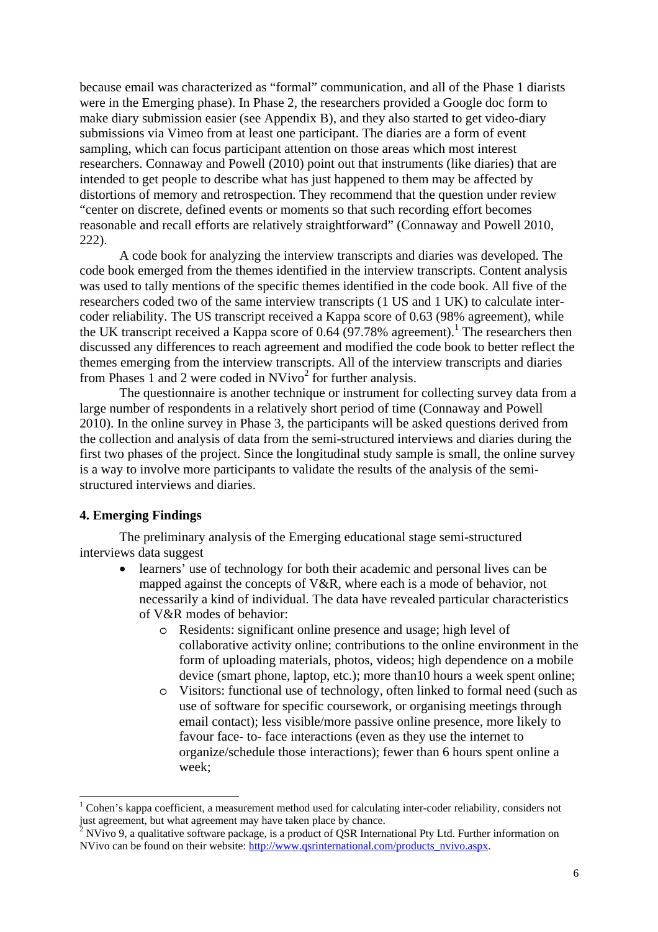because email was characterized as "formal" communication, and all of the Phase 1 diarists were in the Emerging phase). In Phase 2, the researchers provided a Google doc form to make diary submission easier (see Appendix B), and they also started to get video-diary submissions via Vimeo from at least one participant. The diaries are a form of event sampling, which can focus participant attention on those areas which most interest researchers. Connaway and Powell (2010) point out that instruments (like diaries) that are intended to get people to describe what has just happened to them may be affected by distortions of memory and retrospection. They recommend that the question under review "center on discrete, defined events or moments so that such recording effort becomes reasonable and recall efforts are relatively straightforward" (Connaway and Powell 2010, 222).

A code book for analyzing the interview transcripts and diaries was developed. The code book emerged from the themes identified in the interview transcripts. Content analysis was used to tally mentions of the specific themes identified in the code book. All five of the researchers coded two of the same interview transcripts (1 US and 1 UK) to calculate intercoder reliability. The US transcript received a Kappa score of 0.63 (98% agreement), while the UK transcript received a Kappa score of  $0.64 (97.78\%$  agreement).<sup>1</sup> The researchers then discussed any differences to reach agreement and modified the code book to better reflect the themes emerging from the interview transcripts. All of the interview transcripts and diaries from Phases 1 and 2 were coded in  $N$ Vivo<sup>2</sup> for further analysis.

The questionnaire is another technique or instrument for collecting survey data from a large number of respondents in a relatively short period of time (Connaway and Powell 2010). In the online survey in Phase 3, the participants will be asked questions derived from the collection and analysis of data from the semi-structured interviews and diaries during the first two phases of the project. Since the longitudinal study sample is small, the online survey is a way to involve more participants to validate the results of the analysis of the semistructured interviews and diaries.

#### **4. Emerging Findings**

 $\overline{\phantom{a}}$ 

The preliminary analysis of the Emerging educational stage semi-structured interviews data suggest

- learners' use of technology for both their academic and personal lives can be mapped against the concepts of V&R, where each is a mode of behavior, not necessarily a kind of individual. The data have revealed particular characteristics of V&R modes of behavior:
	- o Residents: significant online presence and usage; high level of collaborative activity online; contributions to the online environment in the form of uploading materials, photos, videos; high dependence on a mobile device (smart phone, laptop, etc.); more than10 hours a week spent online;
	- o Visitors: functional use of technology, often linked to formal need (such as use of software for specific coursework, or organising meetings through email contact); less visible/more passive online presence, more likely to favour face- to- face interactions (even as they use the internet to organize/schedule those interactions); fewer than 6 hours spent online a week;

<sup>&</sup>lt;sup>1</sup> Cohen's kappa coefficient, a measurement method used for calculating inter-coder reliability, considers not just agreement, but what agreement may have taken place by chance.

NVivo 9, a qualitative software package, is a product of QSR International Pty Ltd. Further information on NVivo can be found on their website: http://www.qsrinternational.com/products\_nvivo.aspx.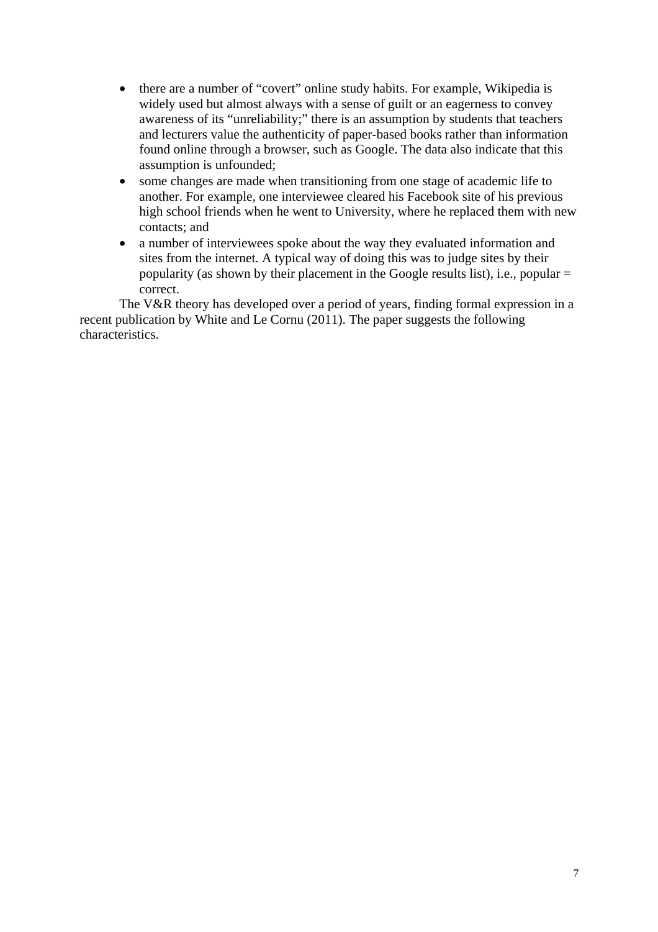- there are a number of "covert" online study habits. For example, Wikipedia is widely used but almost always with a sense of guilt or an eagerness to convey awareness of its "unreliability;" there is an assumption by students that teachers and lecturers value the authenticity of paper-based books rather than information found online through a browser, such as Google. The data also indicate that this assumption is unfounded;
- some changes are made when transitioning from one stage of academic life to another. For example, one interviewee cleared his Facebook site of his previous high school friends when he went to University, where he replaced them with new contacts; and
- a number of interviewees spoke about the way they evaluated information and sites from the internet. A typical way of doing this was to judge sites by their popularity (as shown by their placement in the Google results list), i.e., popular = correct.

The V&R theory has developed over a period of years, finding formal expression in a recent publication by White and Le Cornu (2011). The paper suggests the following characteristics.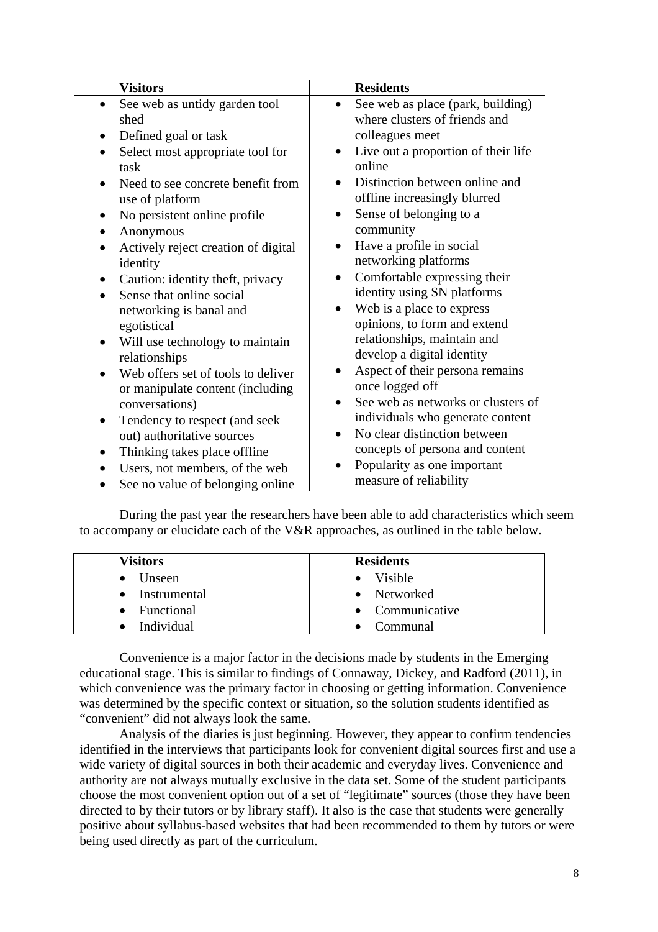| <b>Visitors</b>                                                                                                                 | <b>Residents</b>                                                                                                         |
|---------------------------------------------------------------------------------------------------------------------------------|--------------------------------------------------------------------------------------------------------------------------|
| See web as untidy garden tool<br>$\bullet$<br>shed                                                                              | See web as place (park, building)<br>$\bullet$<br>where clusters of friends and<br>colleagues meet                       |
| Defined goal or task<br>$\bullet$<br>Select most appropriate tool for<br>$\bullet$<br>task<br>Need to see concrete benefit from | Live out a proportion of their life<br>$\bullet$<br>online<br>Distinction between online and                             |
| use of platform<br>No persistent online profile<br>Anonymous<br>$\bullet$                                                       | offline increasingly blurred<br>Sense of belonging to a<br>$\bullet$<br>community                                        |
| Actively reject creation of digital<br>$\bullet$<br>identity                                                                    | Have a profile in social<br>$\bullet$<br>networking platforms                                                            |
| Caution: identity theft, privacy<br>Sense that online social<br>$\bullet$<br>networking is banal and<br>egotistical             | Comfortable expressing their<br>identity using SN platforms<br>Web is a place to express<br>opinions, to form and extend |
| Will use technology to maintain<br>$\bullet$<br>relationships                                                                   | relationships, maintain and<br>develop a digital identity                                                                |
| Web offers set of tools to deliver<br>$\bullet$<br>or manipulate content (including<br>conversations)                           | Aspect of their persona remains<br>once logged off<br>See web as networks or clusters of                                 |
| Tendency to respect (and seek<br>$\bullet$<br>out) authoritative sources                                                        | individuals who generate content<br>No clear distinction between<br>$\bullet$                                            |
| Thinking takes place offline<br>$\bullet$<br>Users, not members, of the web<br>See no value of belonging online                 | concepts of persona and content<br>Popularity as one important<br>measure of reliability                                 |

During the past year the researchers have been able to add characteristics which seem to accompany or elucidate each of the V&R approaches, as outlined in the table below.

| Visitors         | <b>Residents</b> |
|------------------|------------------|
| $\bullet$ Unseen | • Visible        |
| • Instrumental   | • Networked      |
| • Functional     | • Communicative  |
| Individual       | Communal         |

Convenience is a major factor in the decisions made by students in the Emerging educational stage. This is similar to findings of Connaway, Dickey, and Radford (2011), in which convenience was the primary factor in choosing or getting information. Convenience was determined by the specific context or situation, so the solution students identified as "convenient" did not always look the same.

Analysis of the diaries is just beginning. However, they appear to confirm tendencies identified in the interviews that participants look for convenient digital sources first and use a wide variety of digital sources in both their academic and everyday lives. Convenience and authority are not always mutually exclusive in the data set. Some of the student participants choose the most convenient option out of a set of "legitimate" sources (those they have been directed to by their tutors or by library staff). It also is the case that students were generally positive about syllabus-based websites that had been recommended to them by tutors or were being used directly as part of the curriculum.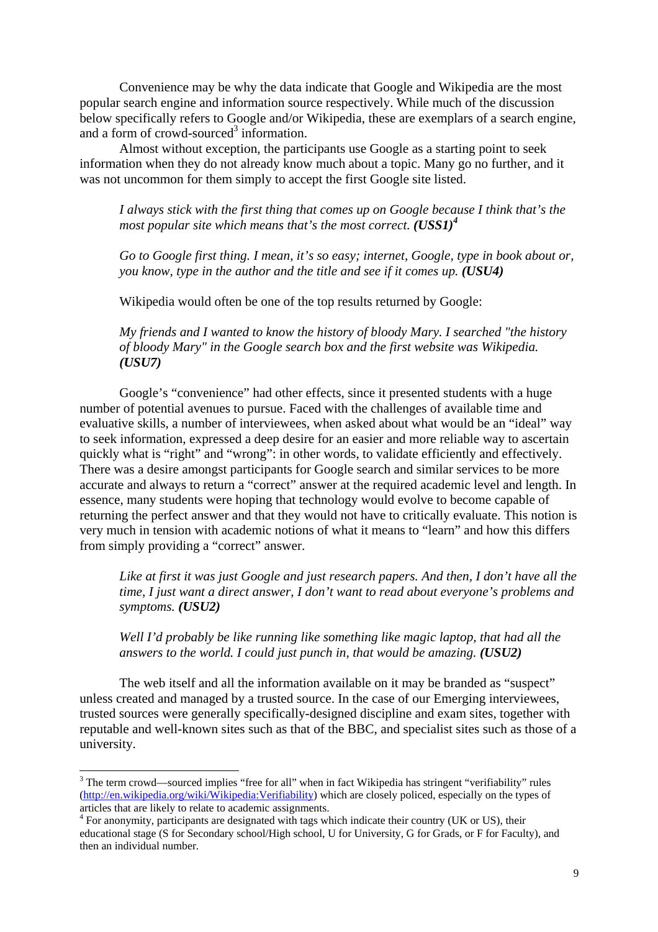Convenience may be why the data indicate that Google and Wikipedia are the most popular search engine and information source respectively. While much of the discussion below specifically refers to Google and/or Wikipedia, these are exemplars of a search engine, and a form of crowd-sourced<sup>3</sup> information.

Almost without exception, the participants use Google as a starting point to seek information when they do not already know much about a topic. Many go no further, and it was not uncommon for them simply to accept the first Google site listed.

*I always stick with the first thing that comes up on Google because I think that's the most popular site which means that's the most correct.*  $(USS1)^4$ 

*Go to Google first thing. I mean, it's so easy; internet, Google, type in book about or, you know, type in the author and the title and see if it comes up. (USU4)* 

Wikipedia would often be one of the top results returned by Google:

*My friends and I wanted to know the history of bloody Mary. I searched "the history of bloody Mary" in the Google search box and the first website was Wikipedia. (USU7)*

Google's "convenience" had other effects, since it presented students with a huge number of potential avenues to pursue. Faced with the challenges of available time and evaluative skills, a number of interviewees, when asked about what would be an "ideal" way to seek information, expressed a deep desire for an easier and more reliable way to ascertain quickly what is "right" and "wrong": in other words, to validate efficiently and effectively. There was a desire amongst participants for Google search and similar services to be more accurate and always to return a "correct" answer at the required academic level and length. In essence, many students were hoping that technology would evolve to become capable of returning the perfect answer and that they would not have to critically evaluate. This notion is very much in tension with academic notions of what it means to "learn" and how this differs from simply providing a "correct" answer.

*Like at first it was just Google and just research papers. And then, I don't have all the time, I just want a direct answer, I don't want to read about everyone's problems and symptoms. (USU2)*

*Well I'd probably be like running like something like magic laptop, that had all the answers to the world. I could just punch in, that would be amazing. (USU2)*

The web itself and all the information available on it may be branded as "suspect" unless created and managed by a trusted source. In the case of our Emerging interviewees, trusted sources were generally specifically-designed discipline and exam sites, together with reputable and well-known sites such as that of the BBC, and specialist sites such as those of a university.

<sup>&</sup>lt;sup>3</sup> The term crowd—sourced implies "free for all" when in fact Wikipedia has stringent "verifiability" rules (http://en.wikipedia.org/wiki/Wikipedia:Verifiability) which are closely policed, especially on the types of articles that are likely to relate to academic assignments.

<sup>&</sup>lt;sup>4</sup> For anonymity, participants are designated with tags which indicate their country (UK or US), their educational stage (S for Secondary school/High school, U for University, G for Grads, or F for Faculty), and then an individual number.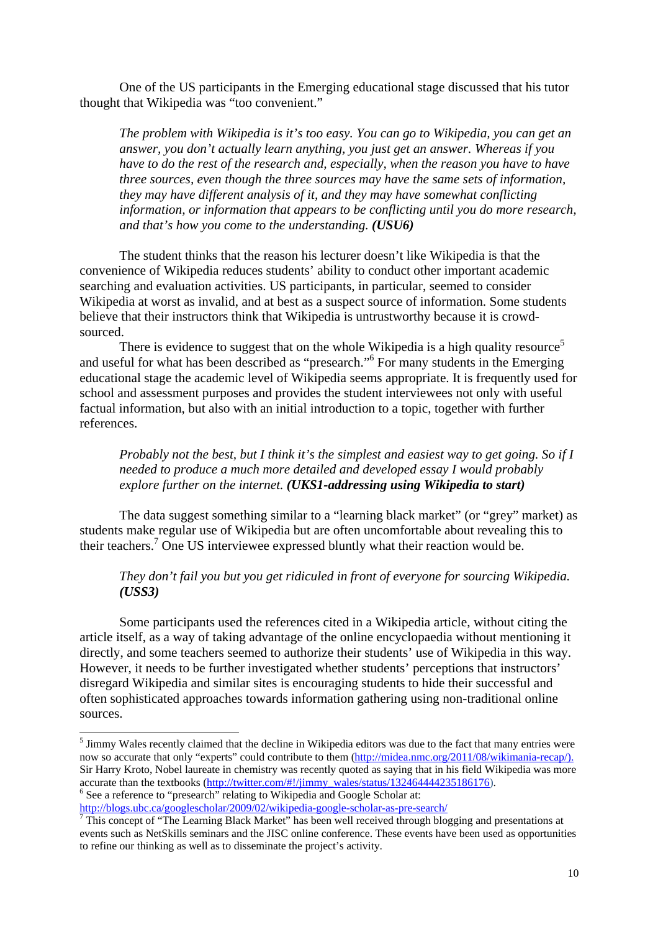One of the US participants in the Emerging educational stage discussed that his tutor thought that Wikipedia was "too convenient."

*The problem with Wikipedia is it's too easy. You can go to Wikipedia, you can get an answer, you don't actually learn anything, you just get an answer. Whereas if you have to do the rest of the research and, especially, when the reason you have to have three sources, even though the three sources may have the same sets of information, they may have different analysis of it, and they may have somewhat conflicting information, or information that appears to be conflicting until you do more research, and that's how you come to the understanding. (USU6)*

The student thinks that the reason his lecturer doesn't like Wikipedia is that the convenience of Wikipedia reduces students' ability to conduct other important academic searching and evaluation activities. US participants, in particular, seemed to consider Wikipedia at worst as invalid, and at best as a suspect source of information. Some students believe that their instructors think that Wikipedia is untrustworthy because it is crowdsourced.

There is evidence to suggest that on the whole Wikipedia is a high quality resource<sup>5</sup> and useful for what has been described as "presearch."6 For many students in the Emerging educational stage the academic level of Wikipedia seems appropriate. It is frequently used for school and assessment purposes and provides the student interviewees not only with useful factual information, but also with an initial introduction to a topic, together with further references.

*Probably not the best, but I think it's the simplest and easiest way to get going. So if I needed to produce a much more detailed and developed essay I would probably explore further on the internet. (UKS1-addressing using Wikipedia to start)*

The data suggest something similar to a "learning black market" (or "grey" market) as students make regular use of Wikipedia but are often uncomfortable about revealing this to their teachers.<sup>7</sup> One US interviewee expressed bluntly what their reaction would be.

## *They don't fail you but you get ridiculed in front of everyone for sourcing Wikipedia. (USS3)*

Some participants used the references cited in a Wikipedia article, without citing the article itself, as a way of taking advantage of the online encyclopaedia without mentioning it directly, and some teachers seemed to authorize their students' use of Wikipedia in this way. However, it needs to be further investigated whether students' perceptions that instructors' disregard Wikipedia and similar sites is encouraging students to hide their successful and often sophisticated approaches towards information gathering using non-traditional online sources.

http://blogs.ubc.ca/googlescholar/2009/02/wikipedia-google-scholar-as-pre-search/

 $\overline{a}$ 

<sup>&</sup>lt;sup>5</sup> Jimmy Wales recently claimed that the decline in Wikipedia editors was due to the fact that many entries were now so accurate that only "experts" could contribute to them (http://midea.nmc.org/2011/08/wikimania-recap/). Sir Harry Kroto, Nobel laureate in chemistry was recently quoted as saying that in his field Wikipedia was more accurate than the textbooks (http://twitter.com/#!/jimmy\_wales/status/132464444235186176). <sup>6</sup> See a reference to "presearch" relating to Wikipedia and Google Scholar at:

This concept of "The Learning Black Market" has been well received through blogging and presentations at events such as NetSkills seminars and the JISC online conference. These events have been used as opportunities to refine our thinking as well as to disseminate the project's activity.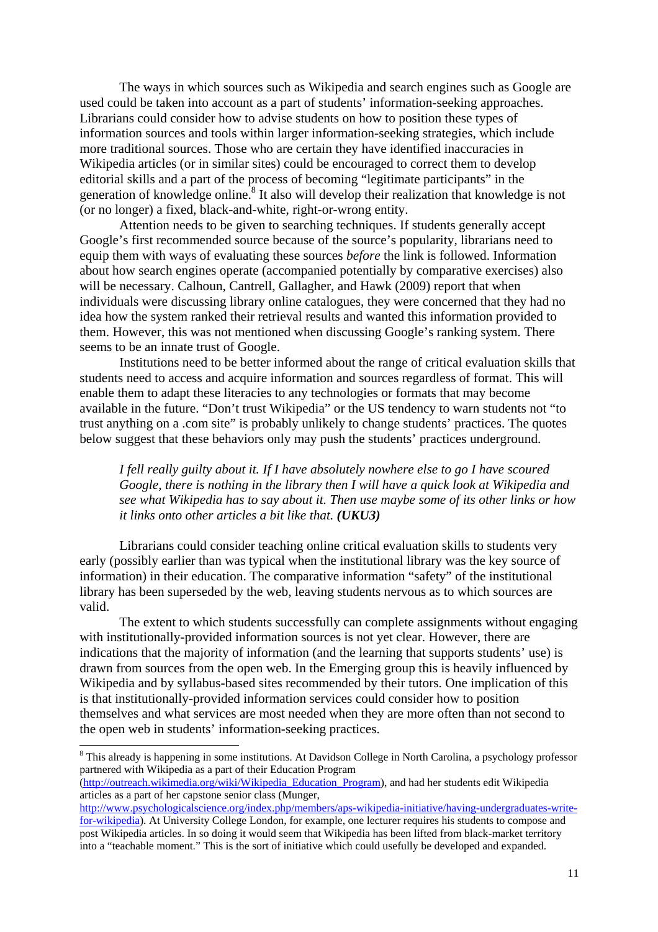The ways in which sources such as Wikipedia and search engines such as Google are used could be taken into account as a part of students' information-seeking approaches. Librarians could consider how to advise students on how to position these types of information sources and tools within larger information-seeking strategies, which include more traditional sources. Those who are certain they have identified inaccuracies in Wikipedia articles (or in similar sites) could be encouraged to correct them to develop editorial skills and a part of the process of becoming "legitimate participants" in the generation of knowledge online.<sup>8</sup> It also will develop their realization that knowledge is not (or no longer) a fixed, black-and-white, right-or-wrong entity.

 Attention needs to be given to searching techniques. If students generally accept Google's first recommended source because of the source's popularity, librarians need to equip them with ways of evaluating these sources *before* the link is followed. Information about how search engines operate (accompanied potentially by comparative exercises) also will be necessary. Calhoun, Cantrell, Gallagher, and Hawk (2009) report that when individuals were discussing library online catalogues, they were concerned that they had no idea how the system ranked their retrieval results and wanted this information provided to them. However, this was not mentioned when discussing Google's ranking system. There seems to be an innate trust of Google.

Institutions need to be better informed about the range of critical evaluation skills that students need to access and acquire information and sources regardless of format. This will enable them to adapt these literacies to any technologies or formats that may become available in the future. "Don't trust Wikipedia" or the US tendency to warn students not "to trust anything on a .com site" is probably unlikely to change students' practices. The quotes below suggest that these behaviors only may push the students' practices underground.

## *I fell really guilty about it. If I have absolutely nowhere else to go I have scoured Google, there is nothing in the library then I will have a quick look at Wikipedia and see what Wikipedia has to say about it. Then use maybe some of its other links or how it links onto other articles a bit like that. (UKU3)*

Librarians could consider teaching online critical evaluation skills to students very early (possibly earlier than was typical when the institutional library was the key source of information) in their education. The comparative information "safety" of the institutional library has been superseded by the web, leaving students nervous as to which sources are valid.

 The extent to which students successfully can complete assignments without engaging with institutionally-provided information sources is not yet clear. However, there are indications that the majority of information (and the learning that supports students' use) is drawn from sources from the open web. In the Emerging group this is heavily influenced by Wikipedia and by syllabus-based sites recommended by their tutors. One implication of this is that institutionally-provided information services could consider how to position themselves and what services are most needed when they are more often than not second to the open web in students' information-seeking practices.

 $\overline{\phantom{a}}$ 

<sup>&</sup>lt;sup>8</sup> This already is happening in some institutions. At Davidson College in North Carolina, a psychology professor partnered with Wikipedia as a part of their Education Program

<sup>(</sup>http://outreach.wikimedia.org/wiki/Wikipedia\_Education\_Program), and had her students edit Wikipedia articles as a part of her capstone senior class (Munger,

http://www.psychologicalscience.org/index.php/members/aps-wikipedia-initiative/having-undergraduates-writefor-wikipedia). At University College London, for example, one lecturer requires his students to compose and post Wikipedia articles. In so doing it would seem that Wikipedia has been lifted from black-market territory into a "teachable moment." This is the sort of initiative which could usefully be developed and expanded.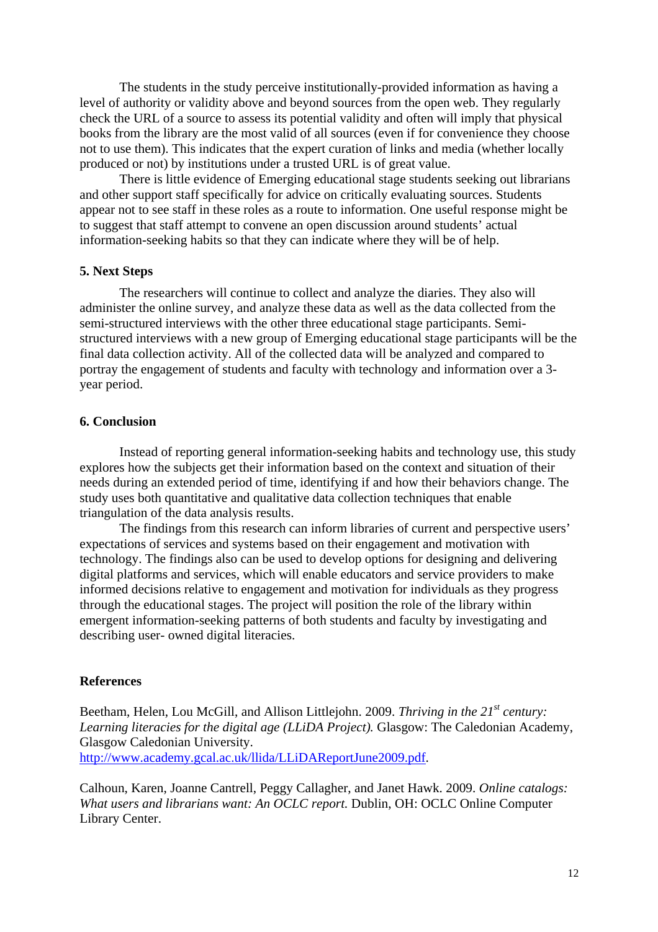The students in the study perceive institutionally-provided information as having a level of authority or validity above and beyond sources from the open web. They regularly check the URL of a source to assess its potential validity and often will imply that physical books from the library are the most valid of all sources (even if for convenience they choose not to use them). This indicates that the expert curation of links and media (whether locally produced or not) by institutions under a trusted URL is of great value.

 There is little evidence of Emerging educational stage students seeking out librarians and other support staff specifically for advice on critically evaluating sources. Students appear not to see staff in these roles as a route to information. One useful response might be to suggest that staff attempt to convene an open discussion around students' actual information-seeking habits so that they can indicate where they will be of help.

#### **5. Next Steps**

The researchers will continue to collect and analyze the diaries. They also will administer the online survey, and analyze these data as well as the data collected from the semi-structured interviews with the other three educational stage participants. Semistructured interviews with a new group of Emerging educational stage participants will be the final data collection activity. All of the collected data will be analyzed and compared to portray the engagement of students and faculty with technology and information over a 3 year period.

## **6. Conclusion**

Instead of reporting general information-seeking habits and technology use, this study explores how the subjects get their information based on the context and situation of their needs during an extended period of time, identifying if and how their behaviors change. The study uses both quantitative and qualitative data collection techniques that enable triangulation of the data analysis results.

The findings from this research can inform libraries of current and perspective users' expectations of services and systems based on their engagement and motivation with technology. The findings also can be used to develop options for designing and delivering digital platforms and services, which will enable educators and service providers to make informed decisions relative to engagement and motivation for individuals as they progress through the educational stages. The project will position the role of the library within emergent information-seeking patterns of both students and faculty by investigating and describing user- owned digital literacies.

#### **References**

Beetham, Helen, Lou McGill, and Allison Littlejohn. 2009. *Thriving in the 21<sup>st</sup> century*: *Learning literacies for the digital age (LLiDA Project).* Glasgow: The Caledonian Academy, Glasgow Caledonian University. http://www.academy.gcal.ac.uk/llida/LLiDAReportJune2009.pdf.

Calhoun, Karen, Joanne Cantrell, Peggy Callagher, and Janet Hawk. 2009. *Online catalogs: What users and librarians want: An OCLC report.* Dublin, OH: OCLC Online Computer Library Center.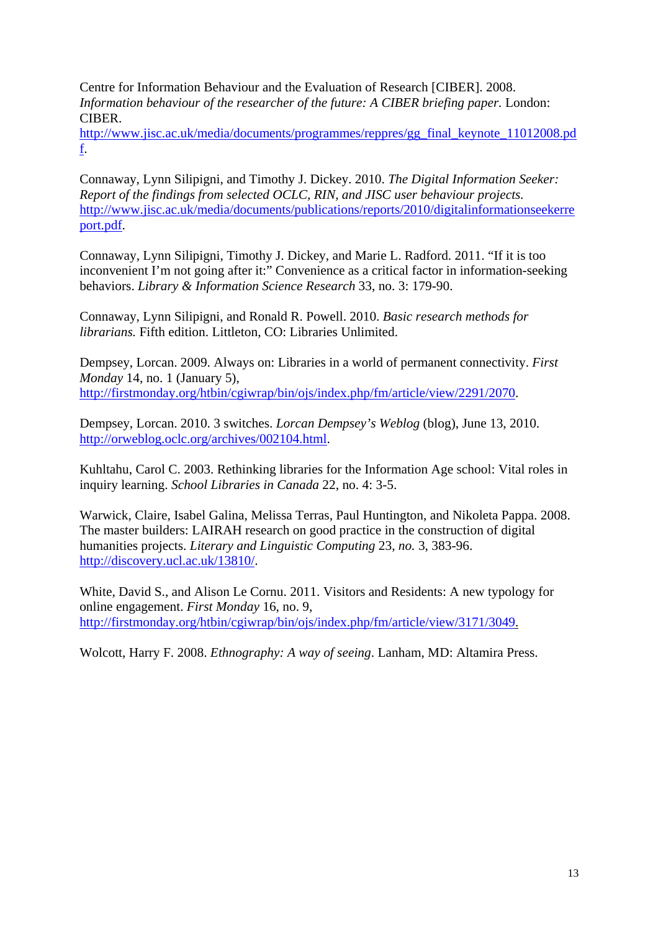Centre for Information Behaviour and the Evaluation of Research [CIBER]. 2008. *Information behaviour of the researcher of the future: A CIBER briefing paper. London:* CIBER.

http://www.jisc.ac.uk/media/documents/programmes/reppres/gg\_final\_keynote\_11012008.pd f.

Connaway, Lynn Silipigni, and Timothy J. Dickey. 2010. *The Digital Information Seeker: Report of the findings from selected OCLC, RIN, and JISC user behaviour projects.* http://www.jisc.ac.uk/media/documents/publications/reports/2010/digitalinformationseekerre port.pdf.

Connaway, Lynn Silipigni, Timothy J. Dickey, and Marie L. Radford. 2011. "If it is too inconvenient I'm not going after it:" Convenience as a critical factor in information-seeking behaviors. *Library & Information Science Research* 33, no. 3: 179-90.

Connaway, Lynn Silipigni, and Ronald R. Powell. 2010. *Basic research methods for librarians.* Fifth edition. Littleton, CO: Libraries Unlimited.

Dempsey, Lorcan. 2009. Always on: Libraries in a world of permanent connectivity. *First Monday* 14, no. 1 (January 5), http://firstmonday.org/htbin/cgiwrap/bin/ojs/index.php/fm/article/view/2291/2070.

Dempsey, Lorcan. 2010. 3 switches. *Lorcan Dempsey's Weblog* (blog), June 13, 2010. http://orweblog.oclc.org/archives/002104.html.

Kuhltahu, Carol C. 2003. Rethinking libraries for the Information Age school: Vital roles in inquiry learning. *School Libraries in Canada* 22, no. 4: 3-5.

Warwick, Claire, Isabel Galina, Melissa Terras, Paul Huntington, and Nikoleta Pappa. 2008. The master builders: LAIRAH research on good practice in the construction of digital humanities projects. *Literary and Linguistic Computing* 23, *no.* 3, 383-96. http://discovery.ucl.ac.uk/13810/.

White, David S., and Alison Le Cornu. 2011. Visitors and Residents: A new typology for online engagement. *First Monday* 16, no. 9, http://firstmonday.org/htbin/cgiwrap/bin/ojs/index.php/fm/article/view/3171/3049.

Wolcott, Harry F. 2008. *Ethnography: A way of seeing*. Lanham, MD: Altamira Press.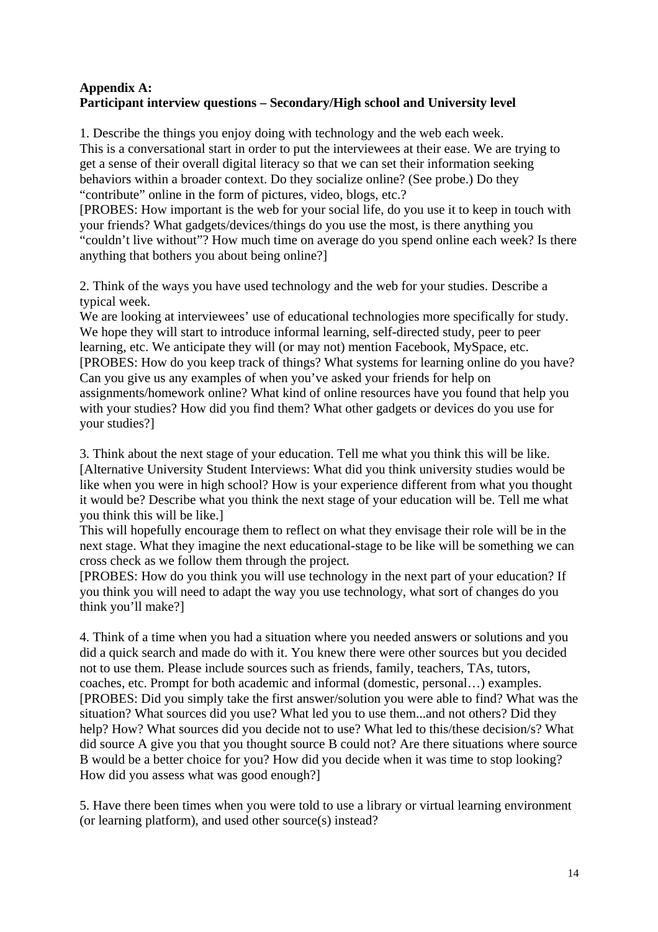# **Appendix A: Participant interview questions – Secondary/High school and University level**

1. Describe the things you enjoy doing with technology and the web each week. This is a conversational start in order to put the interviewees at their ease. We are trying to get a sense of their overall digital literacy so that we can set their information seeking behaviors within a broader context. Do they socialize online? (See probe.) Do they "contribute" online in the form of pictures, video, blogs, etc.?

[PROBES: How important is the web for your social life, do you use it to keep in touch with your friends? What gadgets/devices/things do you use the most, is there anything you "couldn't live without"? How much time on average do you spend online each week? Is there anything that bothers you about being online?]

2. Think of the ways you have used technology and the web for your studies. Describe a typical week.

We are looking at interviewees' use of educational technologies more specifically for study. We hope they will start to introduce informal learning, self-directed study, peer to peer learning, etc. We anticipate they will (or may not) mention Facebook, MySpace, etc. [PROBES: How do you keep track of things? What systems for learning online do you have? Can you give us any examples of when you've asked your friends for help on assignments/homework online? What kind of online resources have you found that help you with your studies? How did you find them? What other gadgets or devices do you use for your studies?]

3. Think about the next stage of your education. Tell me what you think this will be like. [Alternative University Student Interviews: What did you think university studies would be like when you were in high school? How is your experience different from what you thought it would be? Describe what you think the next stage of your education will be. Tell me what you think this will be like.]

This will hopefully encourage them to reflect on what they envisage their role will be in the next stage. What they imagine the next educational-stage to be like will be something we can cross check as we follow them through the project*.* 

[PROBES: How do you think you will use technology in the next part of your education? If you think you will need to adapt the way you use technology, what sort of changes do you think you'll make?]

4. Think of a time when you had a situation where you needed answers or solutions and you did a quick search and made do with it. You knew there were other sources but you decided not to use them. Please include sources such as friends, family, teachers, TAs, tutors, coaches, etc. Prompt for both academic and informal (domestic, personal…) examples. [PROBES: Did you simply take the first answer/solution you were able to find? What was the situation? What sources did you use? What led you to use them...and not others? Did they help? How? What sources did you decide not to use? What led to this/these decision/s? What did source A give you that you thought source B could not? Are there situations where source B would be a better choice for you? How did you decide when it was time to stop looking? How did you assess what was good enough?]

5. Have there been times when you were told to use a library or virtual learning environment (or learning platform), and used other source(s) instead?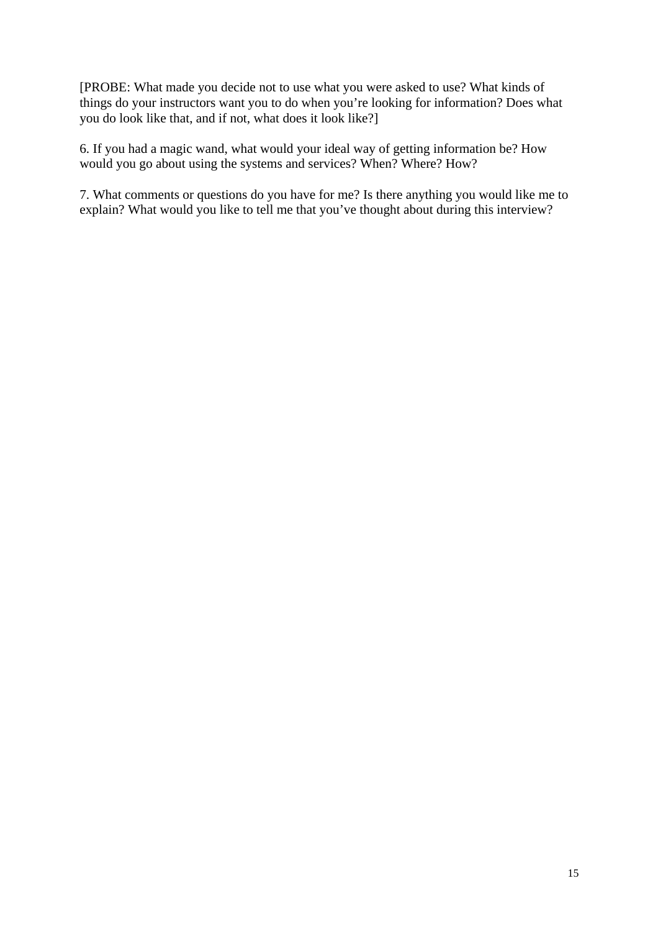[PROBE: What made you decide not to use what you were asked to use? What kinds of things do your instructors want you to do when you're looking for information? Does what you do look like that, and if not, what does it look like?]

6. If you had a magic wand, what would your ideal way of getting information be? How would you go about using the systems and services? When? Where? How?

7. What comments or questions do you have for me? Is there anything you would like me to explain? What would you like to tell me that you've thought about during this interview?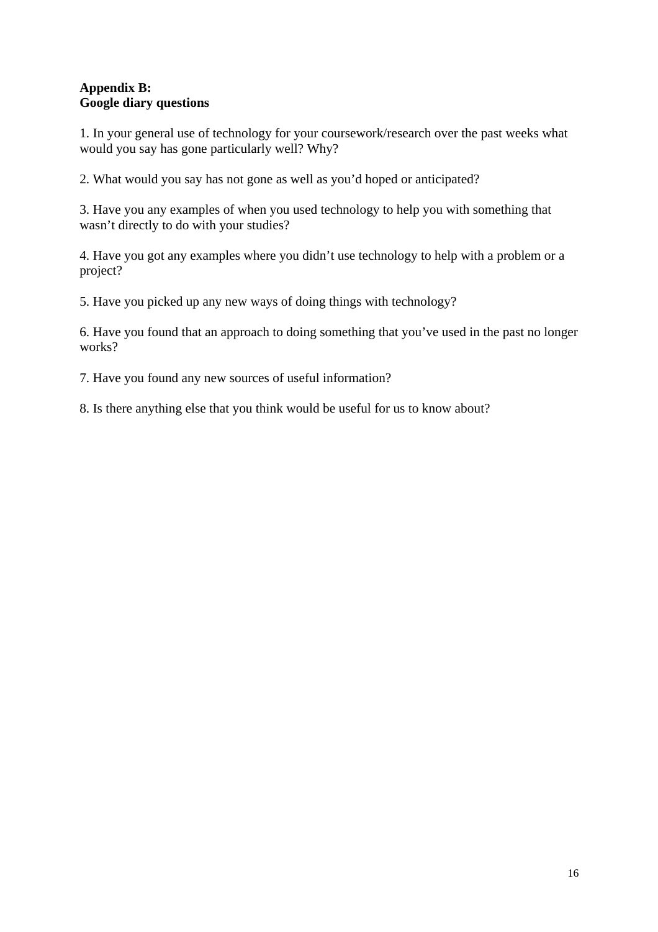# **Appendix B: Google diary questions**

1. In your general use of technology for your coursework/research over the past weeks what would you say has gone particularly well? Why?

2. What would you say has not gone as well as you'd hoped or anticipated?

3. Have you any examples of when you used technology to help you with something that wasn't directly to do with your studies?

4. Have you got any examples where you didn't use technology to help with a problem or a project?

5. Have you picked up any new ways of doing things with technology?

6. Have you found that an approach to doing something that you've used in the past no longer works?

7. Have you found any new sources of useful information?

8. Is there anything else that you think would be useful for us to know about?